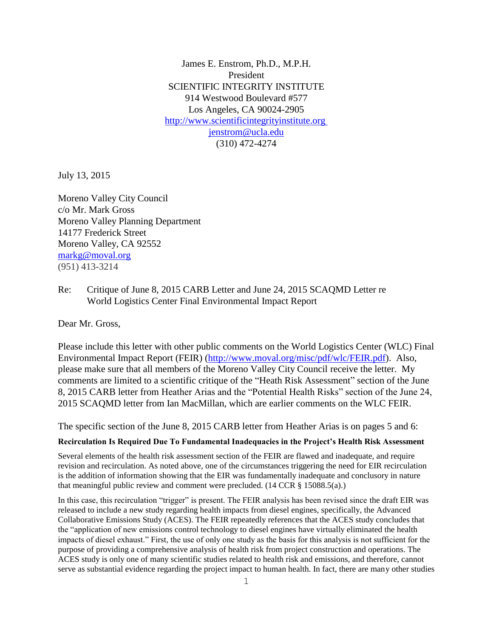James E. Enstrom, Ph.D., M.P.H. President SCIENTIFIC INTEGRITY INSTITUTE 914 Westwood Boulevard #577 Los Angeles, CA 90024-2905 [http://www.scientificintegrityinstitute.org](http://www.scientificintegrityinstitute.org/) [jenstrom@ucla.edu](mailto:jenstrom@ucla.edu) (310) 472-4274

July 13, 2015

Moreno Valley City Council c/o Mr. Mark Gross Moreno Valley Planning Department 14177 Frederick Street Moreno Valley, CA 92552 [markg@moval.org](mailto:markg@moval.org) (951) 413-3214

Re: Critique of June 8, 2015 CARB Letter and June 24, 2015 SCAQMD Letter re World Logistics Center Final Environmental Impact Report

Dear Mr. Gross,

Please include this letter with other public comments on the World Logistics Center (WLC) Final Environmental Impact Report (FEIR) [\(http://www.moval.org/misc/pdf/wlc/FEIR.pdf\)](http://www.moval.org/misc/pdf/wlc/FEIR.pdf). Also, please make sure that all members of the Moreno Valley City Council receive the letter. My comments are limited to a scientific critique of the "Heath Risk Assessment" section of the June 8, 2015 CARB letter from Heather Arias and the "Potential Health Risks" section of the June 24, 2015 SCAQMD letter from Ian MacMillan, which are earlier comments on the WLC FEIR.

The specific section of the June 8, 2015 CARB letter from Heather Arias is on pages 5 and 6:

## **Recirculation Is Required Due To Fundamental Inadequacies in the Project's Health Risk Assessment**

Several elements of the health risk assessment section of the FEIR are flawed and inadequate, and require revision and recirculation. As noted above, one of the circumstances triggering the need for EIR recirculation is the addition of information showing that the EIR was fundamentally inadequate and conclusory in nature that meaningful public review and comment were precluded. (14 CCR § 15088.5(a).)

In this case, this recirculation "trigger" is present. The FEIR analysis has been revised since the draft EIR was released to include a new study regarding health impacts from diesel engines, specifically, the Advanced Collaborative Emissions Study (ACES). The FEIR repeatedly references that the ACES study concludes that the "application of new emissions control technology to diesel engines have virtually eliminated the health impacts of diesel exhaust." First, the use of only one study as the basis for this analysis is not sufficient for the purpose of providing a comprehensive analysis of health risk from project construction and operations. The ACES study is only one of many scientific studies related to health risk and emissions, and therefore, cannot serve as substantial evidence regarding the project impact to human health. In fact, there are many other studies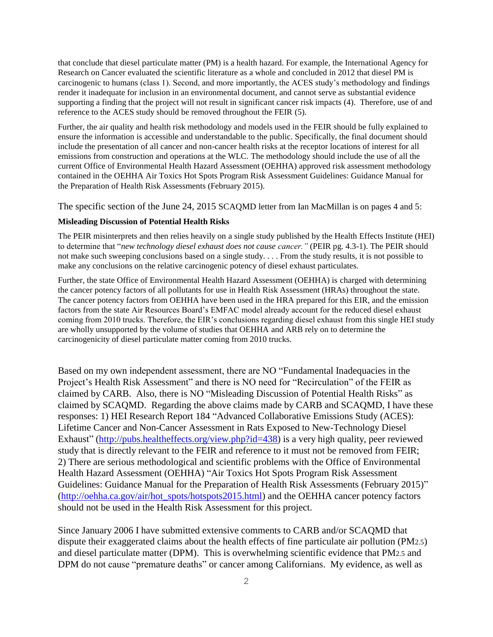that conclude that diesel particulate matter (PM) is a health hazard. For example, the International Agency for Research on Cancer evaluated the scientific literature as a whole and concluded in 2012 that diesel PM is carcinogenic to humans (class 1). Second, and more importantly, the ACES study's methodology and findings render it inadequate for inclusion in an environmental document, and cannot serve as substantial evidence supporting a finding that the project will not result in significant cancer risk impacts (4). Therefore, use of and reference to the ACES study should be removed throughout the FEIR (5).

Further, the air quality and health risk methodology and models used in the FEIR should be fully explained to ensure the information is accessible and understandable to the public. Specifically, the final document should include the presentation of all cancer and non-cancer health risks at the receptor locations of interest for all emissions from construction and operations at the WLC. The methodology should include the use of all the current Office of Environmental Health Hazard Assessment (OEHHA) approved risk assessment methodology contained in the OEHHA Air Toxics Hot Spots Program Risk Assessment Guidelines: Guidance Manual for the Preparation of Health Risk Assessments (February 2015).

The specific section of the June 24, 2015 SCAQMD letter from Ian MacMillan is on pages 4 and 5:

## **Misleading Discussion of Potential Health Risks**

The PEIR misinterprets and then relies heavily on a single study published by the Health Effects Institute (HEI) to determine that "*new technology diesel exhaust does not cause cancer."* (PEIR pg. 4.3-1). The PEIR should not make such sweeping conclusions based on a single study. . . . From the study results, it is not possible to make any conclusions on the relative carcinogenic potency of diesel exhaust particulates.

Further, the state Office of Environmental Health Hazard Assessment (OEHHA) is charged with determining the cancer potency factors of all pollutants for use in Health Risk Assessment (HRAs) throughout the state. The cancer potency factors from OEHHA have been used in the HRA prepared for this EIR, and the emission factors from the state Air Resources Board's EMFAC model already account for the reduced diesel exhaust coming from 2010 trucks. Therefore, the EIR's conclusions regarding diesel exhaust from this single HEI study are wholly unsupported by the volume of studies that OEHHA and ARB rely on to determine the carcinogenicity of diesel particulate matter coming from 2010 trucks.

Based on my own independent assessment, there are NO "Fundamental Inadequacies in the Project's Health Risk Assessment" and there is NO need for "Recirculation" of the FEIR as claimed by CARB. Also, there is NO "Misleading Discussion of Potential Health Risks" as claimed by SCAQMD. Regarding the above claims made by CARB and SCAQMD, I have these responses: 1) HEI Research Report 184 "Advanced Collaborative Emissions Study (ACES): Lifetime Cancer and Non-Cancer Assessment in Rats Exposed to New-Technology Diesel Exhaust" [\(http://pubs.healtheffects.org/view.php?id=438\)](http://pubs.healtheffects.org/view.php?id=438) is a very high quality, peer reviewed study that is directly relevant to the FEIR and reference to it must not be removed from FEIR; 2) There are serious methodological and scientific problems with the Office of Environmental Health Hazard Assessment (OEHHA) "Air Toxics Hot Spots Program Risk Assessment Guidelines: Guidance Manual for the Preparation of Health Risk Assessments (February 2015)" [\(http://oehha.ca.gov/air/hot\\_spots/hotspots2015.html\)](http://oehha.ca.gov/air/hot_spots/hotspots2015.html) and the OEHHA cancer potency factors should not be used in the Health Risk Assessment for this project.

Since January 2006 I have submitted extensive comments to CARB and/or SCAQMD that dispute their exaggerated claims about the health effects of fine particulate air pollution (PM2.5) and diesel particulate matter (DPM). This is overwhelming scientific evidence that PM2.5 and DPM do not cause "premature deaths" or cancer among Californians. My evidence, as well as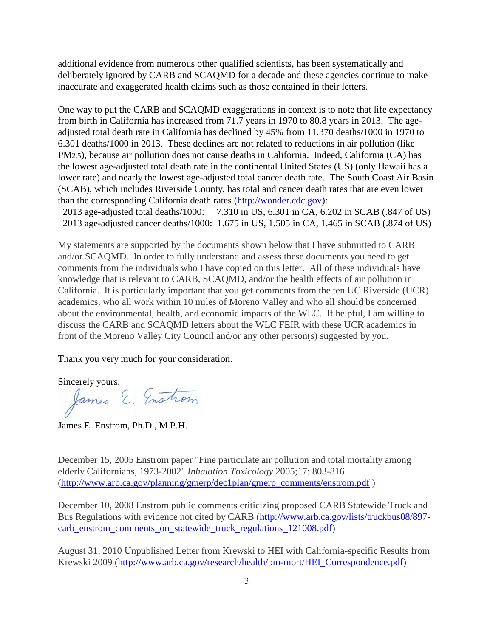additional evidence from numerous other qualified scientists, has been systematically and deliberately ignored by CARB and SCAQMD for a decade and these agencies continue to make inaccurate and exaggerated health claims such as those contained in their letters.

One way to put the CARB and SCAQMD exaggerations in context is to note that life expectancy from birth in California has increased from 71.7 years in 1970 to 80.8 years in 2013. The ageadjusted total death rate in California has declined by 45% from 11.370 deaths/1000 in 1970 to 6.301 deaths/1000 in 2013. These declines are not related to reductions in air pollution (like PM2.5), because air pollution does not cause deaths in California. Indeed, California (CA) has the lowest age-adjusted total death rate in the continental United States (US) (only Hawaii has a lower rate) and nearly the lowest age-adjusted total cancer death rate. The South Coast Air Basin (SCAB), which includes Riverside County, has total and cancer death rates that are even lower than the corresponding California death rates [\(http://wonder.cdc.gov\)](http://wonder.cdc.gov/):

 2013 age-adjusted total deaths/1000: 7.310 in US, 6.301 in CA, 6.202 in SCAB (.847 of US) 2013 age-adjusted cancer deaths/1000: 1.675 in US, 1.505 in CA, 1.465 in SCAB (.874 of US)

My statements are supported by the documents shown below that I have submitted to CARB and/or SCAQMD. In order to fully understand and assess these documents you need to get comments from the individuals who I have copied on this letter. All of these individuals have knowledge that is relevant to CARB, SCAQMD, and/or the health effects of air pollution in California. It is particularly important that you get comments from the ten UC Riverside (UCR) academics, who all work within 10 miles of Moreno Valley and who all should be concerned about the environmental, health, and economic impacts of the WLC. If helpful, I am willing to discuss the CARB and SCAQMD letters about the WLC FEIR with these UCR academics in front of the Moreno Valley City Council and/or any other person(s) suggested by you.

Thank you very much for your consideration.

Sincerely yours,<br>James E. Enstrom

James E. Enstrom, Ph.D., M.P.H.

December 15, 2005 Enstrom paper "Fine particulate air pollution and total mortality among elderly Californians, 1973-2002" *Inhalation Toxicology* 2005;17: 803-816 [\(http://www.arb.ca.gov/planning/gmerp/dec1plan/gmerp\\_comments/enstrom.pdf](http://www.arb.ca.gov/planning/gmerp/dec1plan/gmerp_comments/enstrom.pdf) )

December 10, 2008 Enstrom public comments criticizing proposed CARB Statewide Truck and Bus Regulations with evidence not cited by CARB [\(http://www.arb.ca.gov/lists/truckbus08/897](http://www.arb.ca.gov/lists/truckbus08/897-carb_enstrom_comments_on_statewide_truck_regulations_121008.pdf) carb enstrom comments on statewide truck regulations 121008.pdf)

August 31, 2010 Unpublished Letter from Krewski to HEI with California-specific Results from Krewski 2009 [\(http://www.arb.ca.gov/research/health/pm-mort/HEI\\_Correspondence.pdf\)](http://www.arb.ca.gov/research/health/pm-mort/HEI_Correspondence.pdf)